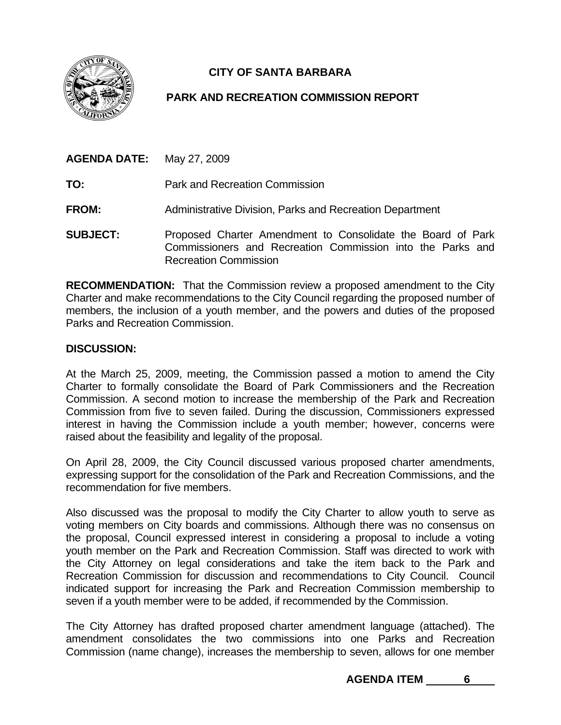

## **CITY OF SANTA BARBARA**

## **PARK AND RECREATION COMMISSION REPORT**

| <b>AGENDA DATE:</b> May 27, 2009 |                                                                                                                           |
|----------------------------------|---------------------------------------------------------------------------------------------------------------------------|
| TO:                              | Park and Recreation Commission                                                                                            |
| <b>FROM:</b>                     | Administrative Division, Parks and Recreation Department                                                                  |
| <b>SUBJECT:</b>                  | Proposed Charter Amendment to Consolidate the Board of Park<br>Commissioners and Recreation Commission into the Parks and |

Recreation Commission

**RECOMMENDATION:** That the Commission review a proposed amendment to the City Charter and make recommendations to the City Council regarding the proposed number of members, the inclusion of a youth member, and the powers and duties of the proposed Parks and Recreation Commission.

## **DISCUSSION:**

At the March 25, 2009, meeting, the Commission passed a motion to amend the City Charter to formally consolidate the Board of Park Commissioners and the Recreation Commission. A second motion to increase the membership of the Park and Recreation Commission from five to seven failed. During the discussion, Commissioners expressed interest in having the Commission include a youth member; however, concerns were raised about the feasibility and legality of the proposal.

On April 28, 2009, the City Council discussed various proposed charter amendments, expressing support for the consolidation of the Park and Recreation Commissions, and the recommendation for five members.

Also discussed was the proposal to modify the City Charter to allow youth to serve as voting members on City boards and commissions. Although there was no consensus on the proposal, Council expressed interest in considering a proposal to include a voting youth member on the Park and Recreation Commission. Staff was directed to work with the City Attorney on legal considerations and take the item back to the Park and Recreation Commission for discussion and recommendations to City Council. Council indicated support for increasing the Park and Recreation Commission membership to seven if a youth member were to be added, if recommended by the Commission.

The City Attorney has drafted proposed charter amendment language (attached). The amendment consolidates the two commissions into one Parks and Recreation Commission (name change), increases the membership to seven, allows for one member

**AGENDA ITEM 6**